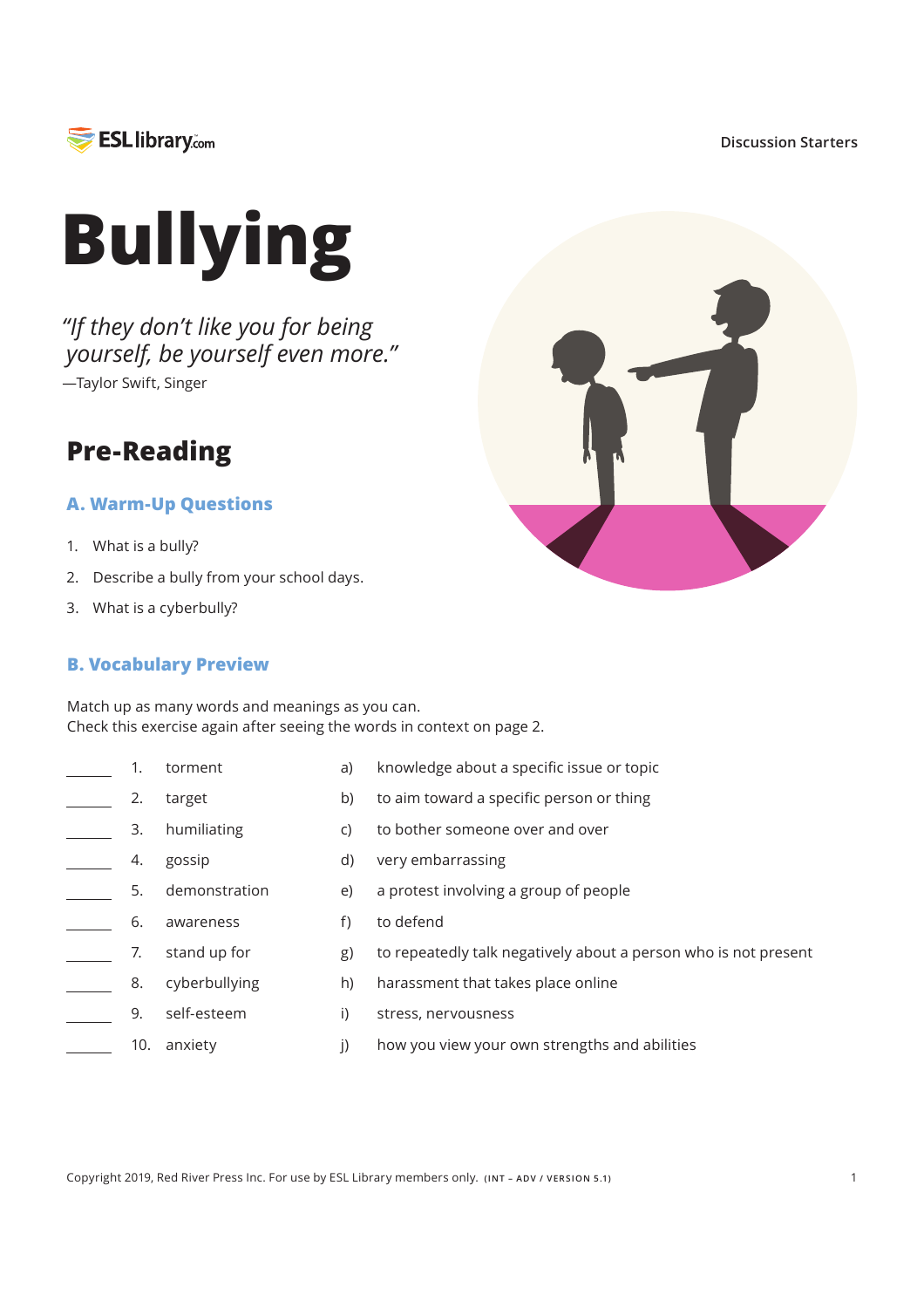

#### **Discussion Starters**



*"If they don't like you for being yourself, be yourself even more."* —Taylor Swift, Singer

### **Pre-Reading**

### **A. Warm-Up Questions**

- 1. What is a bully?
- 2. Describe a bully from your school days.
- 3. What is a cyberbully?

### **B. Vocabulary Preview**

target

gossip

humiliating

Match up as many words and meanings as you can. Check this exercise again after seeing the words in context on page 2.

torment  $\frac{1}{\sqrt{1-\frac{1}{2}}}$  1. 2.

> 3. 4.

 $\overline{a}$ 

 $\overline{\phantom{a}}$ 

 $\overline{\phantom{a}}$ 

 $a)$ knowledge about a specific issue or topic

harassment that takes place online

how you view your own strengths and abilities

to repeatedly talk negatively about a person who is not present

- $b)$ to aim toward a specific person or thing
- C) to bother someone over and over
- $d)$ very embarrassing
- demonstration 5. a protest involving a group of people  $e)$  $\mathbb{R}^2$

 $g)$  $h)$ 

 $\mathsf{I}$ 

- $\overline{\phantom{a}}$ 6. to defend awareness  $f$
- $\mathbb{R}^2$ 7. stand up for
- cyberbullying 8.
	- $\overline{I}$ stress, nervousness self-esteem
	- 10. anxiety

9.